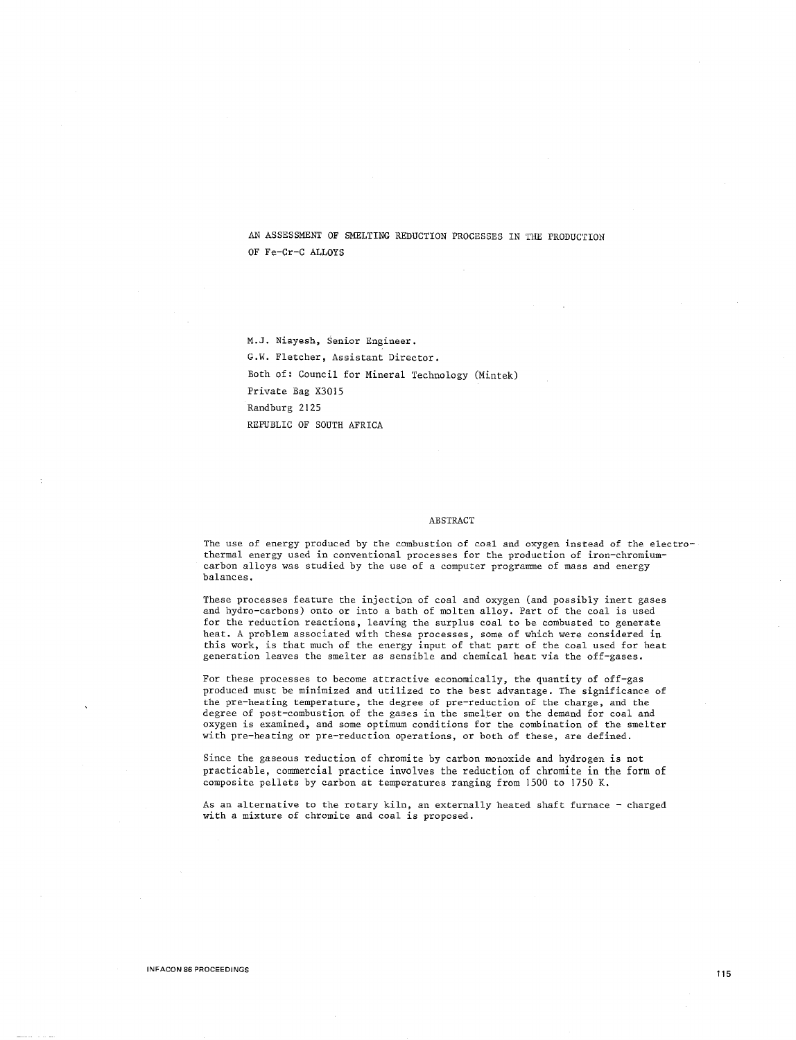# AN ASSESSMENT OF SMELTING REDUCTION PROCESSES IN THE PRODUCTION OF Fe-Cr-C ALLOYS

M.J. Niayesh, Senior Engineer. G.W. Fletcher, Assistant Director. Both of: Council for Mineral Technology (Mintek) Private Bag X3015 Randburg 2125 REPUBLIC OF SOUTH AFRICA

## ABSTRACT

The use of energy produced by the combustion of coal and oxygen instead of the electrothermal energy used in conventional processes for the production of iron-chromiumcarbon alloys was studied by the use of a computer programme of mass and energy balances.

These processes feature the injection of coal and oxygen (and possibly inert gases and hydro-carbons) onto or into a bath of molten alloy. Part of the coal is used for the reduction reactions, leaving the surplus coal to be combusted to generate heat. A problem associated with these processes, some of which were considered in this work, is that much of the energy input of that part of the coal used for heat generation leaves the smelter as sensible and chemical heat via the off-gases.

For these processes to become attractive economically, the quantity of off-gas produced must be minimized and utilized to the best advantage. The significance of the pre-heating temperature, the degree of pre-reduction of the charge, and the degree of post-combustion of the gases in the smelter on the demand for coal and oxygen is examined, and some optimum conditions for the combination of the smelter with pre-heating or pre-reduction operations, or both of these, are defined.

Since the gaseous reduction of chromite by carbon monoxide and hydrogen is not practicable, commercial practice involves the reduction of chromite in the form of composite pellets by carbon at temperatures ranging from 1500 to 1750 K.

As an alternative to the rotary kiln, an externally heated shaft furnace - charged with a mixture of chromite and coal is proposed.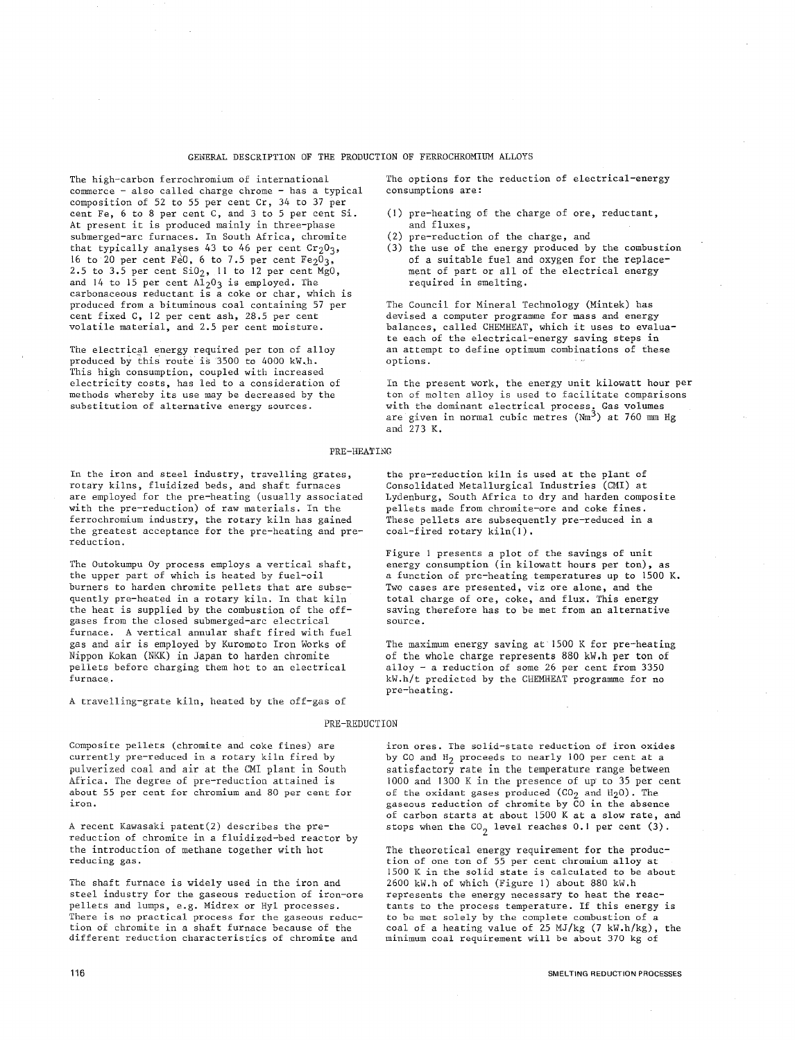## GENERAL DESCRIPTION OF THE PRODUCTION OF FERROCHROMIUM ALLOYS

The high-carbon ferrochromium of international commerce - also called charge chrome - has a typical composition of 52 to 55 per cent Cr, 34 to 37 per cent Fe, 6 to 8 per cent C, and 3 to 5 per cent Si. At present it is produced mainly in three-phase submerged-arc furnaces. In South Africa, chromite that typically analyses 43 to 46 per cent  $Cr_2O_3$ , 16 to 20 per cent FeO, 6 to 7.5 per cent  $Fe<sub>2</sub>0<sub>3</sub>$ , 2.5 to 3.5 per cent  $Si0<sub>2</sub>$ , 11 to 12 per cent Mg0, and 14 to 15 per cent  $A_{2}^{2}$ O<sub>3</sub> is employed. The carbonaceous reductant is a coke or char, which is produced from a bituminous coal containing 57 per cent fixed C, 12 per cent ash, 28.5 per cent volatile material, and 2.5 per cent moisture.

The electrical energy required per ton of alloy produced by this route is 3500 to 4000 kW.h. This high consumption, coupled with increased electricity costs, has led to a consideration of methods whereby its use may be decreased by the **substitution of alternative energy sources.** 

In the iron and steel industry, travelling grates, rotary kilns, fluidized beds, and shaft furnaces are employed for the pre-heating (usually associated with the pre-reduction) of raw materials. In the ferrochromium industry, the rotary kiln has gained the greatest acceptance for the pre-heating and prereduction.

The Outokumpu Oy process employs a vertical shaft, the upper part of which is heated by fuel-oil burners to harden chromite pellets that are subsequently pre-heated in a rotary kiln. In that kiln the heat is supplied by the combustion of the offgases from the closed submerged-arc electrical furnace. A vertical annular shaft fired with fuel gas and air is employed by Kuromoto Iron Works of Nippon Kokan (NKK) in Japan to harden chromite pellets before charging them hot to an electrical **furnace.** 

A travelling-grate kiln, heated by the off-gas of

### PRE-REDUCTION

Composite pellets (chromite and coke fines) are currently pre-reduced in a rotary kiln fired by pulverized coal and air at the CMI plant in South Africa. The degree of pre-reduction attained is about 55 per cent for chromium and 80 per cent for **iron.** 

A recent Kawasaki patent(2) describes the prereduction of chromite in a fluidized-bed reactor by the introduction of methane together with hot **reducing gas.** 

The shaft furnace is widely used in the iron and steel industry for the gaseous reduction of iron-ore pellets and lumps, e.g. Midrex or Hyl processes. **There is no practical process for the gaseous reduc**tion of chromite in a shaft furnace because of the **different reduction characteristics of chromite and** 

The options for the reduction of electrical-energy consumptions are:

- (I) pre-heating of the charge of ore, reductant, and fluxes,
- (2) pre-reduction of the charge, and
- (3) the use of the energy produced by the combustion of a suitable fuel and oxygen for the replacement of part or all of the electrical energy required in smelting.

The Council for Mineral Technology (Mintek) has devised a computer programme for mass and energy balances, called CHEMHEAT, which it uses to evaluate each of the electrical-energy saving steps in an attempt to define optimum combinations of these options.

In the present work, the energy unit kilowatt hour per ton of molten alloy is used to facilitate comparisons with the dominant electrical process, Gas volumes are given in normal cubic metres ( $Nm^3$ ) at 760 mm Hg and 273 K.

## PRE-HEATING

the pre-reduction kiln is used at the plant of Consolidated Metallurgical Industries (CMI) at Lydenburg, South Africa to dry and harden composite pellets made from chromite-ore and coke fines. These pellets are subsequently pre-reduced in a coal-fired rotary kiln(!).

Figure 1 presents a plot of the savings of unit energy consumption (in kilowatt hours per ton), as a function of pre-heating temperatures up to 1500 K. Two cases are presented, viz ore alone, and the total charge of ore, coke, and flux. This energy saving therefore has to be met from an alternative **source.** 

The maximum energy saving at 1500 K for pre-heating of the whole charge represents 880 kW.h per ton of alloy - a reduction of some 26 per cent from 3350 kW.h/t predicted by the CHEMHEAT programme for no pre-heating.

**iron ores. The solid-state reduction of iron oxides**  by CO and  $H_2$  proceeds to nearly 100 per cent at a satisfactory rate in the temperature range between 1000 and 1300 K in the presence of up to 35 per cent of the oxidant gases produced (CO<sub>2</sub> and H<sub>2</sub>O). The gaseous reduction of chromite by CO in the absence of carbon starts at about 1500 K at a slow rate, and stops when the  $CO_{2}$  level reaches 0.1 per cent (3).

The theoretical energy requirement for the production of one ton of 55 per cent chromium alloy at 1500 K in the solid state is calculated to be about 2600 kW.h of which (Figure l) about 880 kW.h represents the energy necessary to heat the reactants to the process temperature. If this energy is to be met solely by the complete combustion of a coal of a heating value of 25 MJ/kg (7 kW.h/kg), the **minimum coal requirement will be about 370 kg of**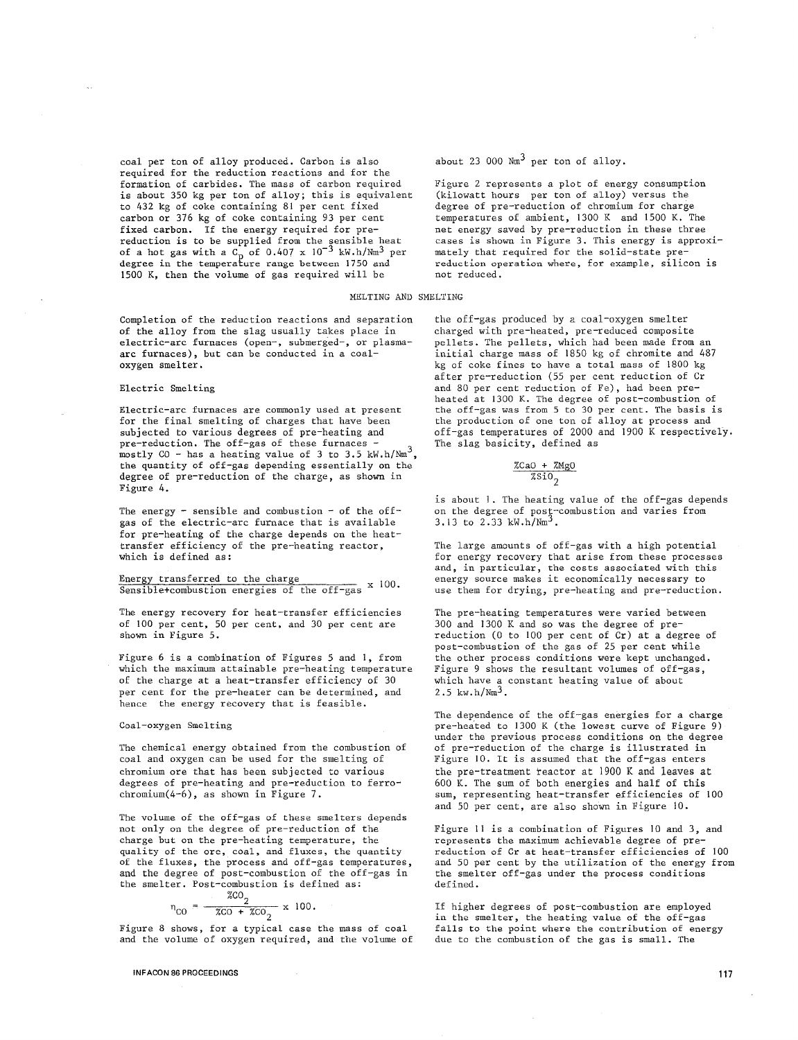coal per ton of alloy produced. Carbon is also required for the reduction reactions and for the formation of carbides. The mass of carbon required is about 350 kg per ton of alloy; this is equivalent to 432 kg of coke containing 81 per cent fixed carbon or 376 kg of coke containing 93 per cent fixed carbon. If the energy required for prereduction is to be supplied from the sensible heat of a hot gas with a C<sub>p</sub> of 0.407 x 10<sup>-3</sup> kW.h/Nm<sup>3</sup> per<br>degree in the temperature range between 1750 and 1500 K, then the volume of gas required will be

Completion of the reduction reactions and separation of the alloy from the slag usually takes place in electric-arc furnaces (open-, submerged-, or plasmaarc furnaces), but can be conducted in a coaloxygen smelter.

## Electric Smelting

Electric-arc furnaces are commonly used at present for the final smelting of charges that have been subjected to various degrees of pre-heating and<br>pre-reduction. The off-gas of these furnaces mostly CO - has a heating value of 3 to 3.5 kW.h/Nm<sup>3</sup>, the quantity of off-gas depending essentially on the degree of pre-reduction of the charge, as shown in Figure 4.

The energy - sensible and combustion - of the offgas of the electric-arc furnace that is available for pre-heating of the charge depends on the heattransfer efficiency of the pre-heating reactor, which is defined as:

Energy transferred to the charge Sensible+combustion energies of the off-gas x lOO.

The energy recovery for heat-transfer efficiencies of 100 per cent, 50 per cent, and 30 per cent are shown in Figure 5.

Figure 6 is a combination of Figures 5 and 1, from which the maximum attainable pre-heating temperature of the charge at a heat-transfer efficiency of 30 per cent for the pre-heater can be determined, and hence the energy recovery that is feasible.

### Coal-oxygen Smelting

The chemical energy obtained from the combustion of coal and oxygen can be used for the smelting of chromium ore that has been subjected to various degrees of pre-heating and pre-reduction to ferrochromium(4-6), as shown in Figure 7.

The volume of the off-gas of these smelters depends not only on the degree of pre-reduction of the charge but on the pre-heating temperature, the quality of the ore, coal, and fluxes, the quantity of the fluxes, the process and off-gas temperatures, and the degree of post-combustion of the off-gas in the smelter. Post-combustion is defined as:

$$
n_{\text{CO}} = \frac{\text{\%CO}_2}{\text{\%CO} + \text{\%CO}_2} \times 100.
$$

Figure 8 shows, for a typical case the mass of coal and the volume of oxygen required, and the volume of

# about 23 000  $Nm^3$  per ton of alloy.

Figure 2 represents a plot of energy consumption (kilowatt hours per ton of alloy) versus the degree of pre-reduction of chromium for charge temperatures of ambient, 1300 K and 1500 K. The net energy saved by pre-reduction in these three cases is shown in Figure 3. This energy is approximately that required for the solid-state pre**reduction operation where, for example, silicon is**  not reduced.

## MELTING AND SMELTING

the off-gas produced by a coal-oxygen smelter charged with pre-heated, pre-reduced composite pellets. The pellets, which had been made from an initial charge mass of 1850 kg of chromite and 487 kg of coke fines to have a total mass of 1800 kg after pre-reduction (55 per cent reduction of Cr and 80 per cent reduction of Fe), had been preheated at 1300 K. The degree of post-combustion of the off-gas was from 5 to 30 per cent. The basis is the production of one ton of alloy at process and off-gas temperatures of 2000 and 1900 K respective1y. The slag basicity, defined as

$$
\frac{\text{%2a0 + %Mg0}}{\text{%5i0}_{2}}
$$

is about 1. The heating value of the off-gas depends on the degree of post-combustion and varies from 3.13 to  $2.33 \text{ kW.h}/\text{Nm}^3$ .

The large amounts of off-gas with a high potential for energy recovery that arise from these processes **and, in particular, the costs associated with this**  energy source makes it economically necessary to use them for drying, pre-heating and pre-reduction.

The pre-heating temperatures were varied between 300 and 1300 K and so was the degree of prereduction (O to 100 per cent of Cr) at a degree of post-combustion of the gas of 25 per cent while the other process conditions were kept unchanged. Figure 9 shows the resultant volumes of off-gas, which have a constant heating value of about  $2.5 \text{kw.h}/\text{Nm}^3$ .

The dependence of the off-gas energies for a charge pre-heated to 1300 K (the lowest curve of Figure 9) under the previous process conditions on the degree of pre-reduction of the charge is illustrated in Figure JO. It is assumed that the off-gas enters the pre-treatment reactor at 1900 Kand leaves at 600 K. The sum of both energies and half of this sum, representing heat-transfer efficiencies of 100 and 50 per cent, are also shown in Figure 10.

Figure 11 is a combination of Figures 10 and 3, and represents the maximum achievable degree of prereduction of Cr at heat-transfer efficiencies of 100 and 50 per cent by the utilization of the energy from the smelter off-gas under the process conditions defined.

If higher degrees of post-combustion are employed in the smelter, the heating value of the off-gas falls to the point where the contribution of energy due to the combustion of the gas is small. The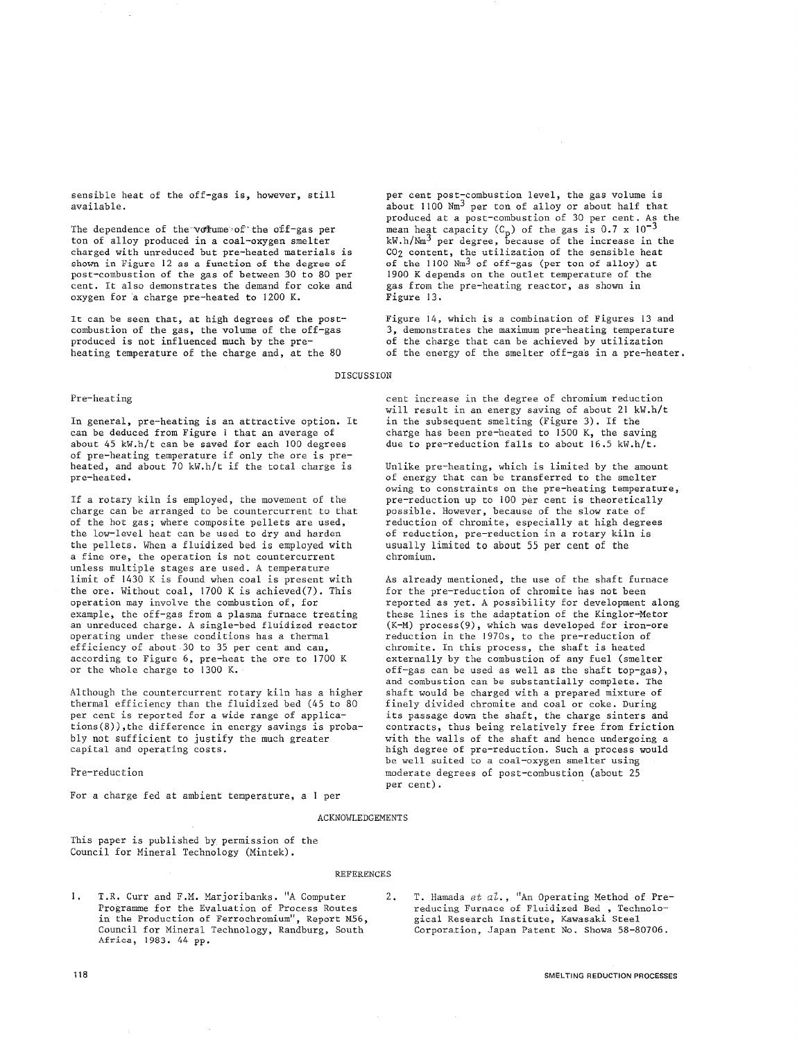sensible heat of the off-gas is, however, still available.

The dependence of the volume of the off-gas per ton of alloy produced in a coal-oxygen smelter charged with unreduced but pre-heated materials is shown in Figure 12 as a function of the degree of post-combustion of the gas of between 30 to 80 per cent. It also demonstrates the demand for coke and oxygen for a charge pre-heated to 1200 K.

It can be seen that, at high degrees of the postcombustion of the gas, the volume of the off-gas produced is not influenced much by the preheating temperature of the charge and, at the 80

per cent post-combustion level, the gas volume is about  $1100 \text{ Nm}^3$  per ton of alloy or about half that produced at a post-combustion of 30 per cent. As the mean heat capacity (C<sub>p</sub>) of the gas is 0.7 x 10<sup>-3</sup> kW.h/Nm3 per degree, because of the increase in the COz content, the utilization of the sensible heat of the  $1100 \text{ Nm}^3$  of off-gas (per ton of alloy) at 1900 K depends on the outlet temperature of the gas from the pre-heating reactor, as shown in Figure 13.

Figure 14, which is a combination of Figures 13 and 3, demonstrates the maximum pre-heating temperature of the charge that can be achieved by utilization of the energy of the smelter off-gas in a pre-heater.

**DISCUSSION** 

## Pre-heating

In general, pre-heating is an attractive option. It can be deduced from Figure 1 that an average of about 45 kW.h/t can be saved for each 100 degrees of pre-heating temperature if only the ore is preheated, and about 70 kW.h/t if the total charge is pre-heated.

If a rotary kiln is employed, the movement of the charge can be arranged to be countercurrent to that of the hot gas; where composite pellets are used, the low-level heat can be used to dry and harden the pellets. When a fluidized bed is employed with a fine ore, the operation is not countercurrent unless multiple stages are used. A temperature limit of 1430 K is found when coal is present with the ore. Without coal, 1700 K is achieved(7). This operation may involve the combustion of, for example, the off-gas from a plasma furnace treating an unreduced charge. A single-bed fluidized reactor operating under these conditions has a thermal efficiency of about 30 to 35 per cent and can, according to Figure 6, pre-heat the ore to 1700 K or the whole charge to 1300 K.

Although the countercurrent rotary kiln has a higher thermal efficiency than the fluidized bed (45 to 80 per cent is reported for a wide range of applications (8)), the difference in energy savings is probably not sufficient to justify the much greater capital and operating costs.

Pre-reduction

For a charge fed at ambient temperature, a 1 per

cent increase in the degree of chromium reduction will result in an energy saving of about 21 kW.h/t in the subsequent smelting (Figure 3). If the charge has been pre-heated to 1500 K, the saving due to pre-reduction falls to about 16.5 kW.h/t.

Unlike pre-heating, which is limited by the amount of energy that can be transferred to the smelter owing to constraints on the pre-heating temperature, pre-reduction up to 100 per cent is theoretically possible. However, because of the slow rate of reduction of chromite, especially at high degrees of reduction, pre-reduction in a rotary kiln is usually limited to about 55 per cent of the chromium.

As already mentioned, the use of the shaft furnace for the pre-reduction of chromite has not been reported as yet. A possibility for development along these lines is the adaptation of the Kinglor-Metor (K-M) process(9), which was developed for iron-ore reduction in the 1970s, to the pre-reduction of chromite. In this process, the shaft is heated externally by the combustion of any fuel (smelter off-gas can be used as well as the shaft top-gas), and combustion can be substantially complete. The shaft would be charged with a prepared mixture of finely divided chromite and coal or coke. During its passage down the shaft, the charge sinters and contracts, thus being relatively free from friction with the walls of the shaft and hence undergoing a high degree of pre-reduction. Such a process would be well suited to a coal-oxygen smelter using moderate degrees of post-combustion (about 25 per cent).

## ACKNOWLEDGEMENTS

This paper is published by permission of the Council for Mineral Technology (Mintek).

#### REFERENCES

I. T.R. Curr and F.M. Marjoribanks. "A Computer Programme for the Evaluation of Process Routes in the Production of Ferrochromium", Report M56, Council for Mineral Technology, Randburg, South Africa, 1983. 44 PP•

2. T. Hamada *et al.,* "An Operating Method of Prereducing Furnace of Fluidized Bed , Technological Research Institute, Kawasaki Steel Corporation, Japan Patent No. Showa 58-80706.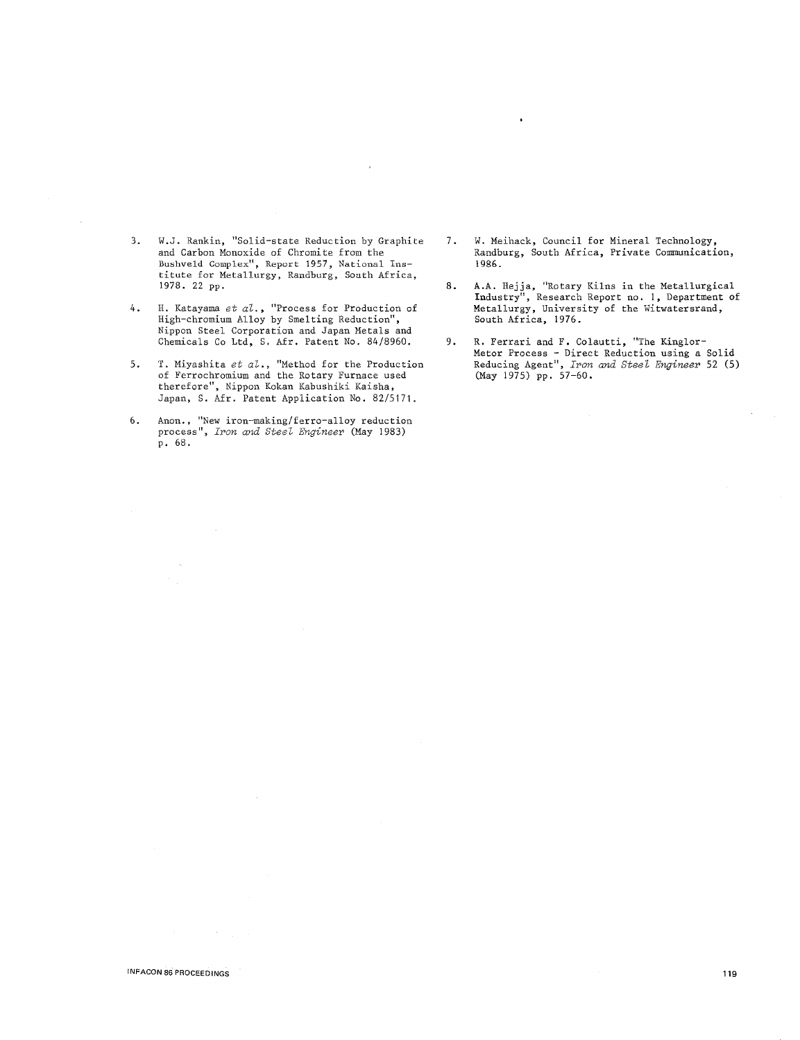- 3. W.J. Rankin, "Solid-state Reduction by Graphite and Carbon Monoxide of Chromite from the Bushveld Complex", Report 1957, National Institute for Metallurgy, Randburg, South Africa, 1978. 22 pp.
- 4. H. Katayama *et al.,* "Process for Production of High-chromium Alloy by Smelting Reduction", Nippon Steel Corporation and Japan Metals and Chemicals Co Ltd, S. Afr. Patent No. 84/8960.
- 5. T. Miyashita *et al.,* "Method for the Production of Ferrochromium and the Rotary Furnace used therefore", Nippon Kokan Kabushiki Kaisha, Japan, S. Afr. Patent Application No. 82/5171.
- 6. Anon., "New iron-making/ferro-alloy reduction process", *Iron and Steel Engineer* (May 1983) p. 68.
- 7. W. Meihack, Council for Mineral Technology, Randburg, South Africa, Private Communication, 1986.
- 8. A.A. Hejja, "Rotary Kilns in the Metallurgical Industry", Research Report no. I, Department of Metallurgy, University of the Witwatersrand, South Africa, 1976.
- 9. R. Ferrari and F. Colautti, "The Kinglor-Metor Process - Direct Reduction using a Solid Reducing Agent", *Iron and Steel Engineer* 52 (5) (May 1975) pp. 57-60.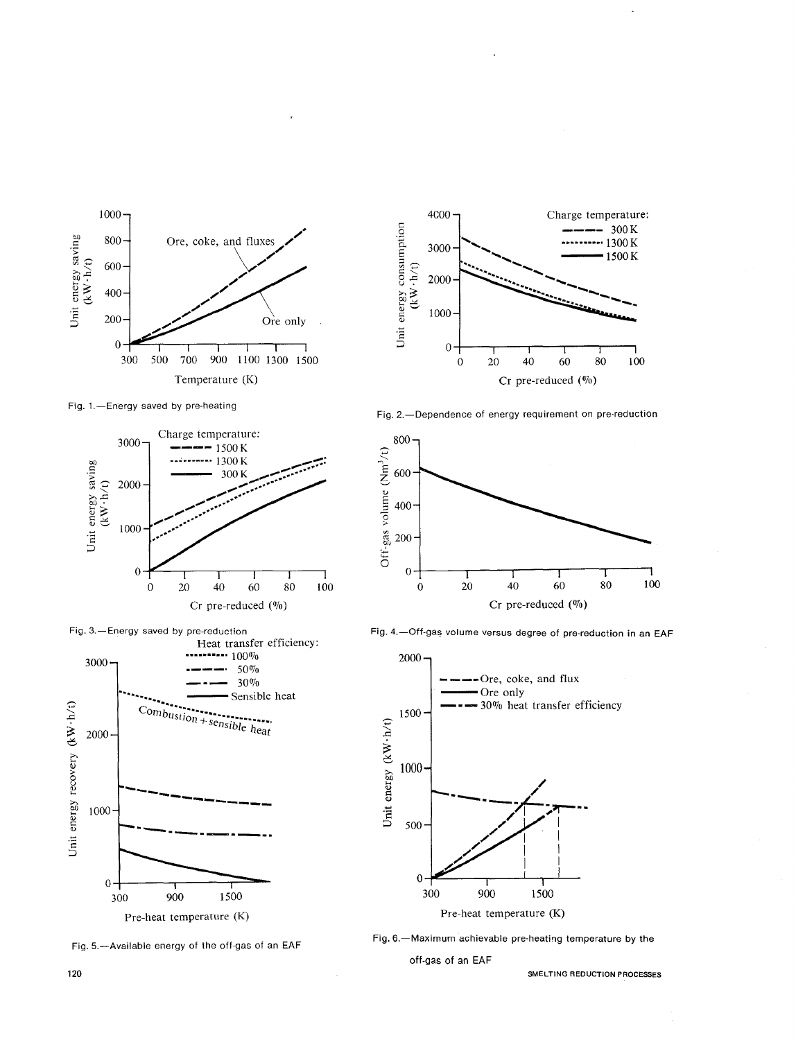

Fig. 1.-Energy saved by pre-heating



Fig. 3.-Energy saved by pre-reduction Heat transfer efficiency:  $.100\%$ 3000 50% 30% Sensible heat Unit energy recovery (kW·h/t)  $Combustion + sensible heat$ 2000



Fig. 5.--Available energy of the off-gas of an EAF



Fig. 2.-Dependence of energy requirement on pre-reduction



Fig. 4.-- Off-gas volume versus degree of pre-reduction in an EAF





off-gas of an EAF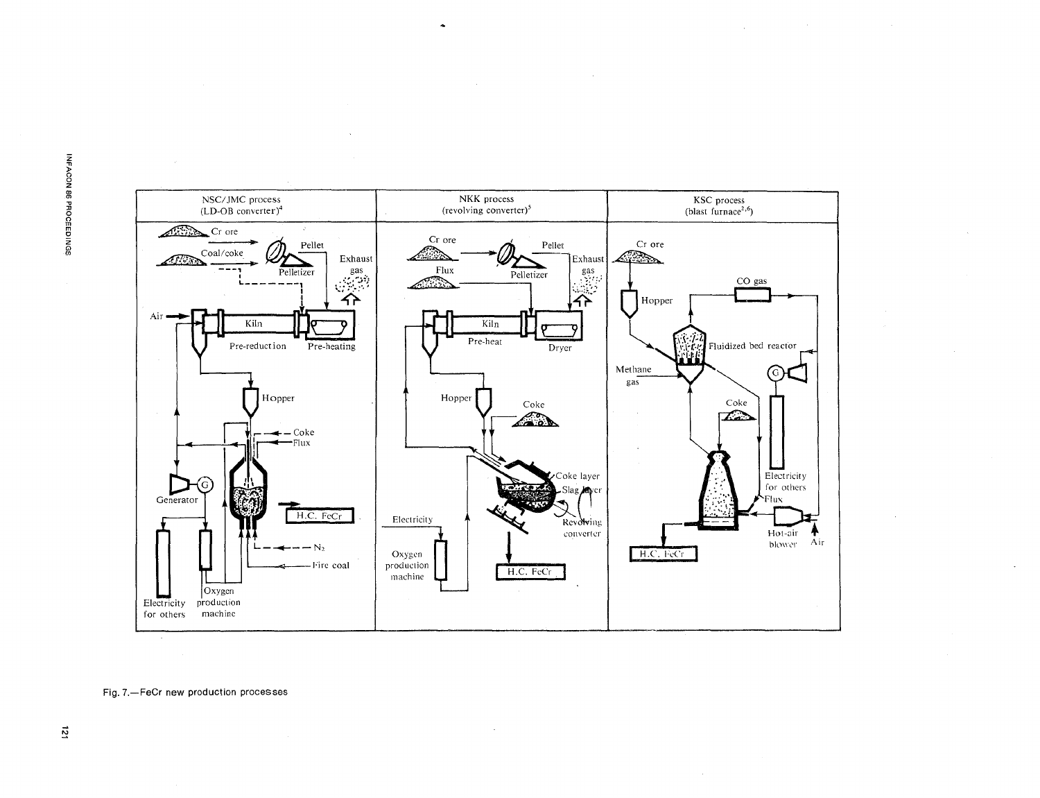**INTACON SO TROOMEDINGS** 



 $\bar{z}$ 

Fig. 7.-FeCr new production processes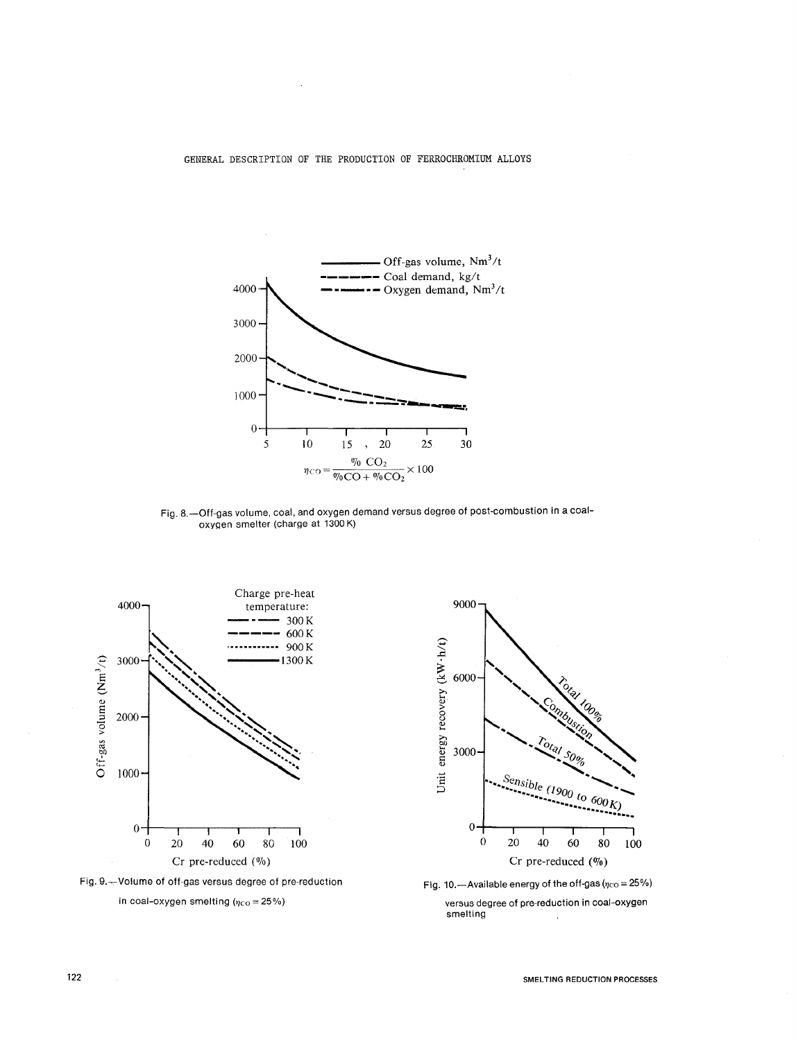

Fig. 8.-Off-gas volume, coal, and oxygen demand versus degree of post-combustion in a coaloxygen smelter (charge at 1300K)









Fig. 10. - Available energy of the off-gas ( $\eta_{\rm CO}$  = 25%) versus degree of pre-reduction in coal-oxygen smelting